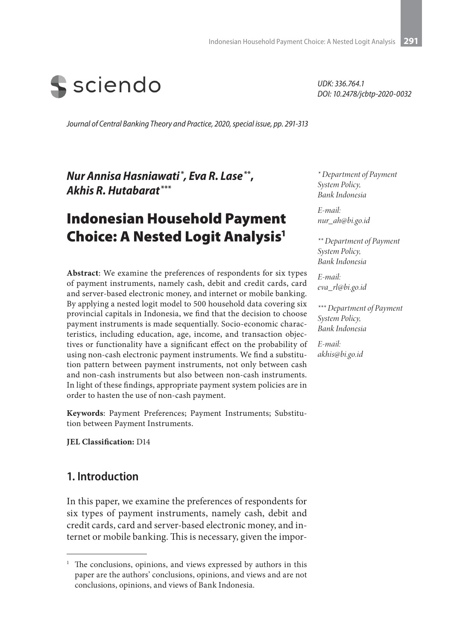

*UDK: 336.764.1 DOI: 10.2478/jcbtp-2020-0032*

*Journal of Central Banking Theory and Practice, 2020, special issue, pp. 291-313*

*Nur Annisa Hasniawati* **\*** *, Eva R. Lase***\*\*,** *Akhis R. Hutabarat* **\*\*\***

# Indonesian Household Payment Choice: A Nested Logit Analysis1

**Abstract**: We examine the preferences of respondents for six types of payment instruments, namely cash, debit and credit cards, card and server-based electronic money, and internet or mobile banking. By applying a nested logit model to 500 household data covering six provincial capitals in Indonesia, we find that the decision to choose payment instruments is made sequentially. Socio-economic characteristics, including education, age, income, and transaction objectives or functionality have a significant effect on the probability of using non-cash electronic payment instruments. We find a substitution pattern between payment instruments, not only between cash and non-cash instruments but also between non-cash instruments. In light of these findings, appropriate payment system policies are in order to hasten the use of non-cash payment.

**Keywords**: Payment Preferences; Payment Instruments; Substitution between Payment Instruments.

**JEL Classification:** D14

### **1. Introduction**

In this paper, we examine the preferences of respondents for six types of payment instruments, namely cash, debit and credit cards, card and server-based electronic money, and internet or mobile banking. This is necessary, given the impor-

*\* Department of Payment System Policy, Bank Indonesia*

*E-mail: nur\_ah@bi.go.id*

*\*\* Department of Payment System Policy, Bank Indonesia*

*E-mail: eva\_rl@bi.go.id*

*\*\*\* Department of Payment System Policy, Bank Indonesia*

*E-mail: akhis@bi.go.id*

<sup>&</sup>lt;sup>1</sup> The conclusions, opinions, and views expressed by authors in this paper are the authors' conclusions, opinions, and views and are not conclusions, opinions, and views of Bank Indonesia.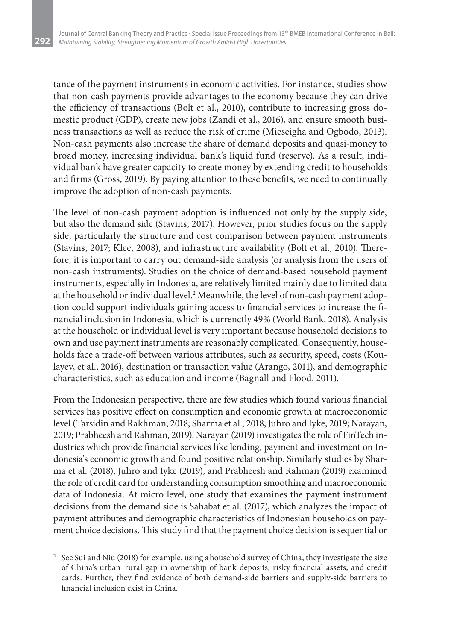**292**

tance of the payment instruments in economic activities. For instance, studies show that non-cash payments provide advantages to the economy because they can drive the efficiency of transactions (Bolt et al., 2010), contribute to increasing gross domestic product (GDP), create new jobs (Zandi et al., 2016), and ensure smooth business transactions as well as reduce the risk of crime (Mieseigha and Ogbodo, 2013). Non-cash payments also increase the share of demand deposits and quasi-money to broad money, increasing individual bank's liquid fund (reserve). As a result, individual bank have greater capacity to create money by extending credit to households and firms (Gross, 2019). By paying attention to these benefits, we need to continually improve the adoption of non-cash payments.

The level of non-cash payment adoption is influenced not only by the supply side, but also the demand side (Stavins, 2017). However, prior studies focus on the supply side, particularly the structure and cost comparison between payment instruments (Stavins, 2017; Klee, 2008), and infrastructure availability (Bolt et al., 2010). Therefore, it is important to carry out demand-side analysis (or analysis from the users of non-cash instruments). Studies on the choice of demand-based household payment instruments, especially in Indonesia, are relatively limited mainly due to limited data at the household or individual level.<sup>2</sup> Meanwhile, the level of non-cash payment adoption could support individuals gaining access to financial services to increase the financial inclusion in Indonesia, which is currenctly 49% (World Bank, 2018). Analysis at the household or individual level is very important because household decisions to own and use payment instruments are reasonably complicated. Consequently, households face a trade-off between various attributes, such as security, speed, costs (Koulayev, et al., 2016), destination or transaction value (Arango, 2011), and demographic characteristics, such as education and income (Bagnall and Flood, 2011).

From the Indonesian perspective, there are few studies which found various financial services has positive effect on consumption and economic growth at macroeconomic level (Tarsidin and Rakhman, 2018; Sharma et al., 2018; Juhro and Iyke, 2019; Narayan, 2019; Prabheesh and Rahman, 2019). Narayan (2019) investigates the role of FinTech industries which provide financial services like lending, payment and investment on Indonesia's economic growth and found positive relationship. Similarly studies by Sharma et al. (2018), Juhro and Iyke (2019), and Prabheesh and Rahman (2019) examined the role of credit card for understanding consumption smoothing and macroeconomic data of Indonesia. At micro level, one study that examines the payment instrument decisions from the demand side is Sahabat et al. (2017), which analyzes the impact of payment attributes and demographic characteristics of Indonesian households on payment choice decisions. This study find that the payment choice decision is sequential or

<sup>&</sup>lt;sup>2</sup> See Sui and Niu (2018) for example, using a household survey of China, they investigate the size of China's urban–rural gap in ownership of bank deposits, risky financial assets, and credit cards. Further, they find evidence of both demand-side barriers and supply-side barriers to financial inclusion exist in China.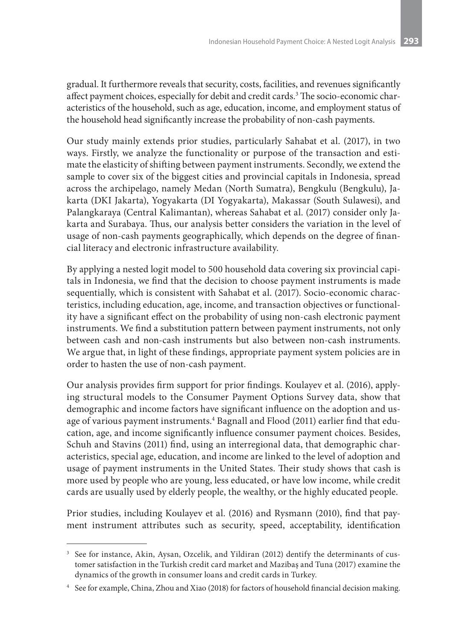gradual. It furthermore reveals that security, costs, facilities, and revenues significantly affect payment choices, especially for debit and credit cards.<sup>3</sup> The socio-economic characteristics of the household, such as age, education, income, and employment status of the household head significantly increase the probability of non-cash payments.

Our study mainly extends prior studies, particularly Sahabat et al. (2017), in two ways. Firstly, we analyze the functionality or purpose of the transaction and estimate the elasticity of shifting between payment instruments. Secondly, we extend the sample to cover six of the biggest cities and provincial capitals in Indonesia, spread across the archipelago, namely Medan (North Sumatra), Bengkulu (Bengkulu), Jakarta (DKI Jakarta), Yogyakarta (DI Yogyakarta), Makassar (South Sulawesi), and Palangkaraya (Central Kalimantan), whereas Sahabat et al. (2017) consider only Jakarta and Surabaya. Thus, our analysis better considers the variation in the level of usage of non-cash payments geographically, which depends on the degree of financial literacy and electronic infrastructure availability.

By applying a nested logit model to 500 household data covering six provincial capitals in Indonesia, we find that the decision to choose payment instruments is made sequentially, which is consistent with Sahabat et al. (2017). Socio-economic characteristics, including education, age, income, and transaction objectives or functionality have a significant effect on the probability of using non-cash electronic payment instruments. We find a substitution pattern between payment instruments, not only between cash and non-cash instruments but also between non-cash instruments. We argue that, in light of these findings, appropriate payment system policies are in order to hasten the use of non-cash payment.

Our analysis provides firm support for prior findings. Koulayev et al. (2016), applying structural models to the Consumer Payment Options Survey data, show that demographic and income factors have significant influence on the adoption and usage of various payment instruments. $^4$  Bagnall and Flood (2011) earlier find that education, age, and income significantly influence consumer payment choices. Besides, Schuh and Stavins (2011) find, using an interregional data, that demographic characteristics, special age, education, and income are linked to the level of adoption and usage of payment instruments in the United States. Their study shows that cash is more used by people who are young, less educated, or have low income, while credit cards are usually used by elderly people, the wealthy, or the highly educated people.

Prior studies, including Koulayev et al. (2016) and Rysmann (2010), find that payment instrument attributes such as security, speed, acceptability, identification

<sup>&</sup>lt;sup>3</sup> See for instance, Akin, Aysan, Ozcelik, and Yildiran (2012) dentify the determinants of customer satisfaction in the Turkish credit card market and Mazibaş and Tuna (2017) examine the dynamics of the growth in consumer loans and credit cards in Turkey.

<sup>4</sup> See for example, China, Zhou and Xiao (2018) for factors of household financial decision making.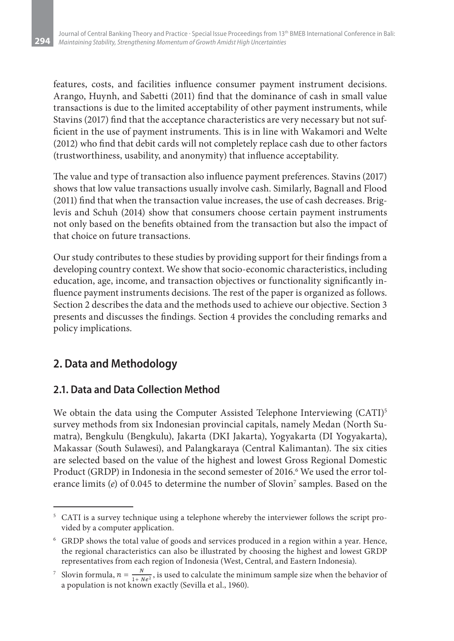features, costs, and facilities influence consumer payment instrument decisions. Arango, Huynh, and Sabetti (2011) find that the dominance of cash in small value transactions is due to the limited acceptability of other payment instruments, while Stavins (2017) find that the acceptance characteristics are very necessary but not sufficient in the use of payment instruments. This is in line with Wakamori and Welte (2012) who find that debit cards will not completely replace cash due to other factors (trustworthiness, usability, and anonymity) that influence acceptability.

The value and type of transaction also influence payment preferences. Stavins (2017) shows that low value transactions usually involve cash. Similarly, Bagnall and Flood (2011) find that when the transaction value increases, the use of cash decreases. Briglevis and Schuh (2014) show that consumers choose certain payment instruments not only based on the benefits obtained from the transaction but also the impact of that choice on future transactions.

Our study contributes to these studies by providing support for their findings from a developing country context. We show that socio-economic characteristics, including education, age, income, and transaction objectives or functionality significantly influence payment instruments decisions. The rest of the paper is organized as follows. Section 2 describes the data and the methods used to achieve our objective. Section 3 presents and discusses the findings. Section 4 provides the concluding remarks and policy implications.

## **2. Data and Methodology**

**294**

## **2.1. Data and Data Collection Method**

We obtain the data using the Computer Assisted Telephone Interviewing  $(CATI)^5$ survey methods from six Indonesian provincial capitals, namely Medan (North Sumatra), Bengkulu (Bengkulu), Jakarta (DKI Jakarta), Yogyakarta (DI Yogyakarta), Makassar (South Sulawesi), and Palangkaraya (Central Kalimantan). The six cities are selected based on the value of the highest and lowest Gross Regional Domestic Product (GRDP) in Indonesia in the second semester of 2016.<sup>6</sup> We used the error tolerance limits (e) of 0.045 to determine the number of Slovin<sup>7</sup> samples. Based on the

<sup>&</sup>lt;sup>5</sup> CATI is a survey technique using a telephone whereby the interviewer follows the script provided by a computer application.

<sup>6</sup> GRDP shows the total value of goods and services produced in a region within a year. Hence, the regional characteristics can also be illustrated by choosing the highest and lowest GRDP representatives from each region of Indonesia (West, Central, and Eastern Indonesia).

<sup>&</sup>lt;sup>7</sup> Slovin formula,  $n = \frac{N}{1 + Ne^2}$ , is used to calculate the minimum sample size when the behavior of a population is not known exactly (Sevilla et al., 1960).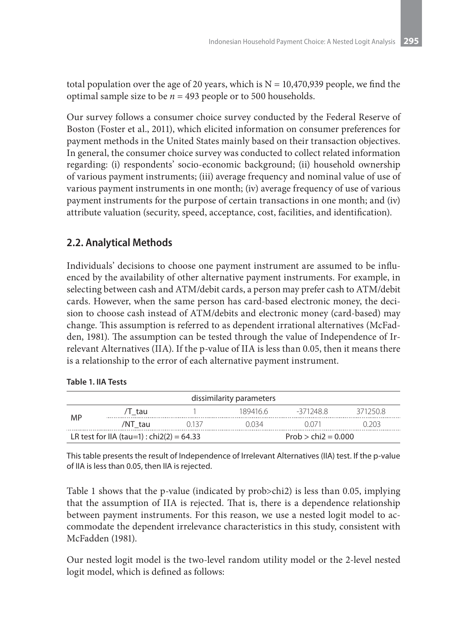total population over the age of 20 years, which is  $N = 10,470,939$  people, we find the optimal sample size to be *n* = 493 people or to 500 households.

Our survey follows a consumer choice survey conducted by the Federal Reserve of Boston (Foster et al., 2011), which elicited information on consumer preferences for payment methods in the United States mainly based on their transaction objectives. In general, the consumer choice survey was conducted to collect related information regarding: (i) respondents' socio-economic background; (ii) household ownership of various payment instruments; (iii) average frequency and nominal value of use of various payment instruments in one month; (iv) average frequency of use of various payment instruments for the purpose of certain transactions in one month; and (iv) attribute valuation (security, speed, acceptance, cost, facilities, and identification).

## **2.2. Analytical Methods**

Individuals' decisions to choose one payment instrument are assumed to be influenced by the availability of other alternative payment instruments. For example, in selecting between cash and ATM/debit cards, a person may prefer cash to ATM/debit cards. However, when the same person has card-based electronic money, the decision to choose cash instead of ATM/debits and electronic money (card-based) may change. This assumption is referred to as dependent irrational alternatives (McFadden, 1981). The assumption can be tested through the value of Independence of Irrelevant Alternatives (IIA). If the p-value of IIA is less than 0.05, then it means there is a relationship to the error of each alternative payment instrument.

#### **Table 1. IIA Tests**

| dissimilarity parameters                                           |         |       |          |           |         |  |  |
|--------------------------------------------------------------------|---------|-------|----------|-----------|---------|--|--|
| MP                                                                 | /T tau  |       | 189416.6 | -371248.8 | 3712508 |  |  |
|                                                                    | /NT tau | 0.137 | 0.034    | 1071      | -203    |  |  |
| LR test for IIA (tau=1) : chi2(2) = 64.33<br>$Prob > chi2 = 0.000$ |         |       |          |           |         |  |  |

This table presents the result of Independence of Irrelevant Alternatives (IIA) test. If the p-value of IIA is less than 0.05, then IIA is rejected.

Table 1 shows that the p-value (indicated by prob>chi2) is less than 0.05, implying that the assumption of IIA is rejected. That is, there is a dependence relationship between payment instruments. For this reason, we use a nested logit model to accommodate the dependent irrelevance characteristics in this study, consistent with McFadden (1981).

Our nested logit model is the two-level random utility model or the 2-level nested logit model, which is defined as follows: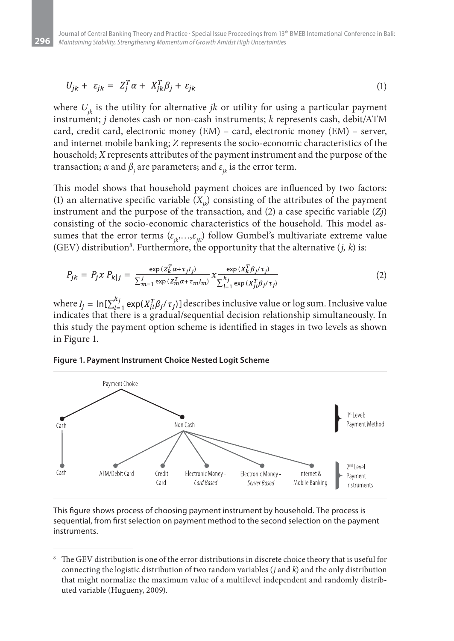**296**

$$
U_{jk} + \varepsilon_{jk} = Z_j^T \alpha + X_{jk}^T \beta_j + \varepsilon_{jk} \tag{1}
$$

where  $U_{ik}$  is the utility for alternative *jk* or utility for using a particular payment instrument; *j* denotes cash or non-cash instruments; *k* represents cash, debit/ATM card, credit card, electronic money (EM) – card, electronic money (EM) – server, and internet mobile banking; *Z* represents the socio-economic characteristics of the household; *X* represents attributes of the payment instrument and the purpose of the transaction;  $\alpha$  and  $\beta_j$  are parameters; and  $\varepsilon_{jk}$  is the error term.

This model shows that household payment choices are influenced by two factors: (1) an alternative specific variable  $(X_i)$  consisting of the attributes of the payment instrument and the purpose of the transaction, and (2) a case specific variable (*Zj*) consisting of the socio-economic characteristics of the household. This model assumes that the error terms  $(\varepsilon_{ik},...,\varepsilon_{ik})$  follow Gumbel's multivariate extreme value (GEV) distribution $^8$ . Furthermore, the opportunity that the alternative  $(j,\,k)$  is:

$$
P_{jk} = P_j \times P_{k|j} = \frac{\exp(z_k^T \alpha + \tau_j l_j)}{\sum_{m=1}^j \exp(z_m^T \alpha + \tau_m l_m)} \times \frac{\exp(x_k^T \beta_j / \tau_j)}{\sum_{l=1}^{k_j} \exp(x_l^T \beta_j / \tau_j)}
$$
(2)

where  $I_i = \ln[\sum_{l=1}^{k_j} \exp(X_{il}^T \beta_j/\tau_j)]$  describes inclusive value or log sum. Inclusive value indicates that there is a gradual/sequential decision relationship simultaneously. In this study the payment option scheme is identified in stages in two levels as shown in Figure 1.



**Figure 1. Payment Instrument Choice Nested Logit Scheme**

This figure shows process of choosing payment instrument by household. The process is sequential, from first selection on payment method to the second selection on the payment instruments.

The GEV distribution is one of the error distributions in discrete choice theory that is useful for connecting the logistic distribution of two random variables (*j* and *k*) and the only distribution that might normalize the maximum value of a multilevel independent and randomly distributed variable (Hugueny, 2009).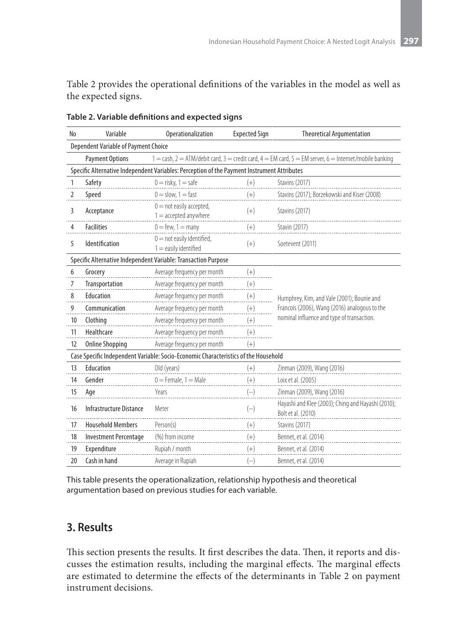Table 2 provides the operational definitions of the variables in the model as well as the expected signs.

| No | Variable                                                                         | Operationalization                                                                          | <b>Expected Sign</b> | <b>Theoretical Argumentation</b>                                                                                   |
|----|----------------------------------------------------------------------------------|---------------------------------------------------------------------------------------------|----------------------|--------------------------------------------------------------------------------------------------------------------|
|    | Dependent Variable of Payment Choice                                             |                                                                                             |                      |                                                                                                                    |
|    | <b>Payment Options</b>                                                           |                                                                                             |                      | $1 =$ cash, $2 =$ ATM/debit card, $3 =$ credit card, $4 =$ EM card, $5 =$ EM server, $6 =$ Internet/mobile banking |
|    |                                                                                  | Specific Alternative Independent Variables: Perception of the Payment Instrument Attributes |                      |                                                                                                                    |
| 1  | Safety                                                                           | $0 =$ risky, $1 =$ safe                                                                     | $(+)$                | <b>Stavins (2017)</b>                                                                                              |
| 2  | Speed                                                                            | $0 =$ slow, $1 =$ fast                                                                      | $(+)$                | Stavins (2017); Borzekowski and Kiser (2008)                                                                       |
| 3  | $0 =$ not easily accepted,<br>Acceptance<br>$1 =$ accepted anywhere              |                                                                                             | $(+)$                | Stavins (2017)                                                                                                     |
| 4  | <b>Facilities</b>                                                                | $0 = few, 1 = many$                                                                         | $(+)$                | Stavin (2017)                                                                                                      |
| 5  | $0 =$ not easily identified,<br><b>Identification</b><br>$1 =$ easily identified |                                                                                             | $(+)$                | Soetevent (2011)                                                                                                   |
|    |                                                                                  | Specific Alternative Independent Variable: Transaction Purpose                              |                      |                                                                                                                    |
| 6  | Grocery                                                                          | Average frequency per month                                                                 | $(+)$                |                                                                                                                    |
| 7  | Transportation                                                                   | Average frequency per month                                                                 | $(+)$                |                                                                                                                    |
| 8  | Education                                                                        | Average frequency per month                                                                 | $(+)$                | Humphrey, Kim, and Vale (2001); Bounie and                                                                         |
| 9  | Communication                                                                    | Average frequency per month                                                                 | $(+)$                | Francois (2006), Wang (2016) analogous to the                                                                      |
| 10 | Clothing                                                                         | Average frequency per month                                                                 | $(+)$                | nominal influence and type of transaction.                                                                         |
| 11 | Healthcare                                                                       | Average frequency per month                                                                 | $(+)$                |                                                                                                                    |
| 12 | <b>Online Shopping</b>                                                           | Average frequency per month                                                                 | $(+)$                |                                                                                                                    |
|    |                                                                                  | Case Specific Independent Variable: Socio-Economic Characteristics of the Household         |                      |                                                                                                                    |
| 13 | Education                                                                        | Old (years)                                                                                 | $(+)$                | Zinman (2009), Wang (2016)                                                                                         |
| 14 | Gender                                                                           | $0 =$ Female, $1 =$ Male                                                                    | $(+)$                | Loix et al. (2005)                                                                                                 |
| 15 | Age                                                                              | Years                                                                                       | $(-)$                | Zinman (2009), Wang (2016)                                                                                         |
| 16 | Infrastructure Distance                                                          | Meter                                                                                       | $(-)$                | Hayashi and Klee (2003); Ching and Hayashi (2010);<br>Bolt et al. (2010)                                           |
| 17 | <b>Household Members</b>                                                         | Person(s)                                                                                   | $(+)$                | Stavins (2017)                                                                                                     |
| 18 | <b>Investment Percentage</b>                                                     | (%) from income                                                                             | $^{(+)}$             | Bennet, et al. (2014)                                                                                              |
| 19 | Expenditure                                                                      | Rupiah / month                                                                              | $(+)$                | Bennet, et al. (2014)                                                                                              |
| 20 | Cash in hand                                                                     | Average in Rupiah                                                                           | $(-)$                | Bennet, et al. (2014)                                                                                              |

**Table 2. Variable definitions and expected signs**

This table presents the operationalization, relationship hypothesis and theoretical argumentation based on previous studies for each variable.

## **3. Results**

This section presents the results. It first describes the data. Then, it reports and discusses the estimation results, including the marginal effects. The marginal effects are estimated to determine the effects of the determinants in Table 2 on payment instrument decisions.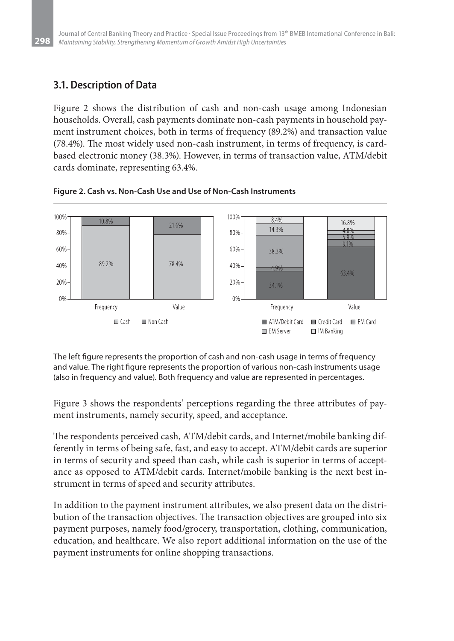## **3.1. Description of Data**

**298**

Figure 2 shows the distribution of cash and non-cash usage among Indonesian households. Overall, cash payments dominate non-cash payments in household payment instrument choices, both in terms of frequency (89.2%) and transaction value (78.4%). The most widely used non-cash instrument, in terms of frequency, is cardbased electronic money (38.3%). However, in terms of transaction value, ATM/debit cards dominate, representing 63.4%.



**Figure 2. Cash vs. Non-Cash Use and Use of Non-Cash Instruments**

The left figure represents the proportion of cash and non-cash usage in terms of frequency and value. The right figure represents the proportion of various non-cash instruments usage (also in frequency and value). Both frequency and value are represented in percentages.

Figure 3 shows the respondents' perceptions regarding the three attributes of payment instruments, namely security, speed, and acceptance.

The respondents perceived cash, ATM/debit cards, and Internet/mobile banking differently in terms of being safe, fast, and easy to accept. ATM/debit cards are superior in terms of security and speed than cash, while cash is superior in terms of acceptance as opposed to ATM/debit cards. Internet/mobile banking is the next best instrument in terms of speed and security attributes.

In addition to the payment instrument attributes, we also present data on the distribution of the transaction objectives. The transaction objectives are grouped into six payment purposes, namely food/grocery, transportation, clothing, communication, education, and healthcare. We also report additional information on the use of the payment instruments for online shopping transactions.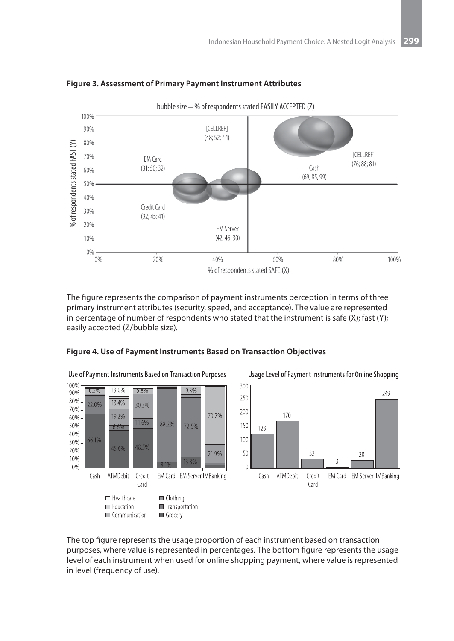



The figure represents the comparison of payment instruments perception in terms of three primary instrument attributes (security, speed, and acceptance). The value are represented in percentage of number of respondents who stated that the instrument is safe  $(X)$ ; fast  $(Y)$ ; easily accepted (Z/bubble size).



**Figure 4. Use of Payment Instruments Based on Transaction Objectives**

The top figure represents the usage proportion of each instrument based on transaction purposes, where value is represented in percentages. The bottom figure represents the usage level of each instrument when used for online shopping payment, where value is represented in level (frequency of use).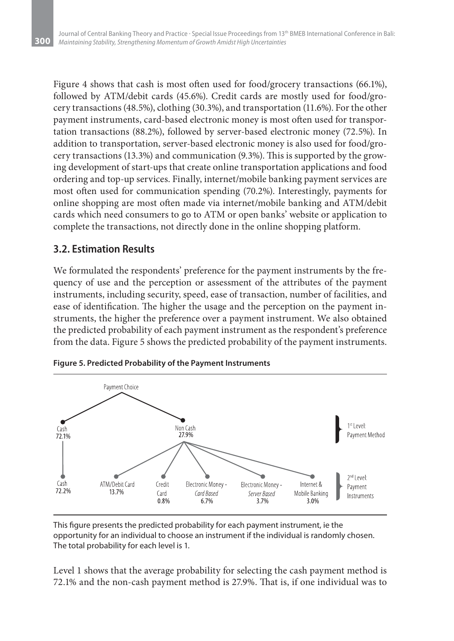Figure 4 shows that cash is most often used for food/grocery transactions (66.1%), followed by ATM/debit cards (45.6%). Credit cards are mostly used for food/grocery transactions (48.5%), clothing (30.3%), and transportation (11.6%). For the other payment instruments, card-based electronic money is most often used for transportation transactions (88.2%), followed by server-based electronic money (72.5%). In addition to transportation, server-based electronic money is also used for food/grocery transactions (13.3%) and communication (9.3%). This is supported by the growing development of start-ups that create online transportation applications and food ordering and top-up services. Finally, internet/mobile banking payment services are most often used for communication spending (70.2%). Interestingly, payments for online shopping are most often made via internet/mobile banking and ATM/debit cards which need consumers to go to ATM or open banks' website or application to complete the transactions, not directly done in the online shopping platform.

#### **3.2. Estimation Results**

We formulated the respondents' preference for the payment instruments by the frequency of use and the perception or assessment of the attributes of the payment instruments, including security, speed, ease of transaction, number of facilities, and ease of identification. The higher the usage and the perception on the payment instruments, the higher the preference over a payment instrument. We also obtained the predicted probability of each payment instrument as the respondent's preference from the data. Figure 5 shows the predicted probability of the payment instruments.



**Figure 5. Predicted Probability of the Payment Instruments**

This figure presents the predicted probability for each payment instrument, ie the opportunity for an individual to choose an instrument if the individual is randomly chosen. The total probability for each level is 1.

Level 1 shows that the average probability for selecting the cash payment method is 72.1% and the non-cash payment method is 27.9%. That is, if one individual was to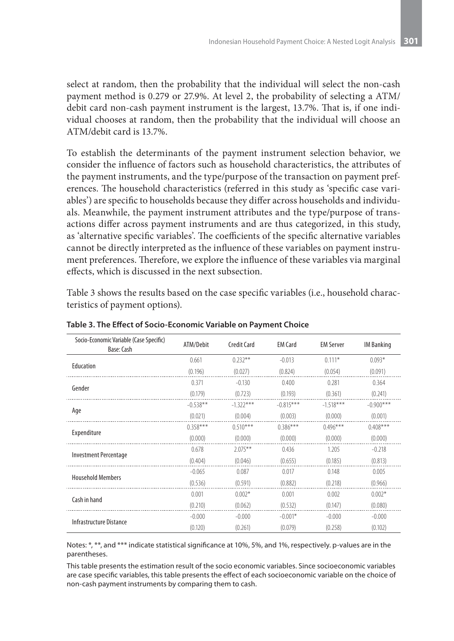select at random, then the probability that the individual will select the non-cash payment method is 0.279 or 27.9%. At level 2, the probability of selecting a ATM/ debit card non-cash payment instrument is the largest, 13.7%. That is, if one individual chooses at random, then the probability that the individual will choose an ATM/debit card is 13.7%.

To establish the determinants of the payment instrument selection behavior, we consider the influence of factors such as household characteristics, the attributes of the payment instruments, and the type/purpose of the transaction on payment preferences. The household characteristics (referred in this study as 'specific case variables') are specific to households because they differ across households and individuals. Meanwhile, the payment instrument attributes and the type/purpose of transactions differ across payment instruments and are thus categorized, in this study, as 'alternative specific variables'. The coefficients of the specific alternative variables cannot be directly interpreted as the influence of these variables on payment instrument preferences. Therefore, we explore the influence of these variables via marginal effects, which is discussed in the next subsection.

Table 3 shows the results based on the case specific variables (i.e., household characteristics of payment options).

| Socio-Economic Variable (Case Specific)<br>Base: Cash | ATM/Debit  | <b>Credit Card</b> | <b>EM Card</b> | <b>EM Server</b> | <b>IM Banking</b> |
|-------------------------------------------------------|------------|--------------------|----------------|------------------|-------------------|
|                                                       | 0.661      | $0.232***$         | $-0.013$       | $0.111*$         | $0.093*$          |
| Education                                             | (0.196)    | (0.027)            | (0.824)        | (0.054)          | (0.091)           |
|                                                       | 0.371      | $-0.130$           | 0.400          | 0.281            | 0.364             |
| Gender                                                | (0.179)    | (0.723)            | (0.193)        | (0.361)          | (0.241)           |
|                                                       | $-0.538**$ | $-1.322***$        | $-0.815***$    | $-1.518***$      | $-0.900$ ***      |
| Age                                                   | (0.021)    | (0.004)            | (0.003)        | (0.000)          | (0.001)           |
|                                                       | $0.358***$ | $0.510***$         | $0.386***$     | $0.496***$       | $0.408***$        |
| Expenditure                                           | (0.000)    | (0.000)            | (0.000)        | (0.000)          | (0.000)           |
|                                                       | 0.678      | $2.075***$         | 0.436          | 1.205            | $-0.218$          |
| Investment Percentage                                 | (0.404)    | (0.046)            | (0.655)        | (0.185)          | (0.813)           |
|                                                       | $-0.065$   | 0.087              | 0.017          | 0.148            | 0.005             |
| <b>Household Members</b>                              | (0.536)    | (0.591)            | (0.882)        | (0.218)          | (0.966)           |
|                                                       | 0.001      | $0.002*$           | 0.001          | 0.002            | $0.002*$          |
| Cash in hand                                          | (0.210)    | (0.062)            | (0.532)        | (0.147)          | (0.080)           |
|                                                       | $-0.000$   | $-0.000$           | $-0.001*$      | $-0.000$         | $-0.000$          |
| Infrastructure Distance                               | (0.120)    | (0.261)            | (0.079)        | (0.258)          | (0.102)           |

**Table 3. The Effect of Socio-Economic Variable on Payment Choice**

Notes: \*, \*\*, and \*\*\* indicate statistical significance at 10%, 5%, and 1%, respectively. p-values are in the parentheses.

This table presents the estimation result of the socio economic variables. Since socioeconomic variables are case specific variables, this table presents the effect of each socioeconomic variable on the choice of non-cash payment instruments by comparing them to cash.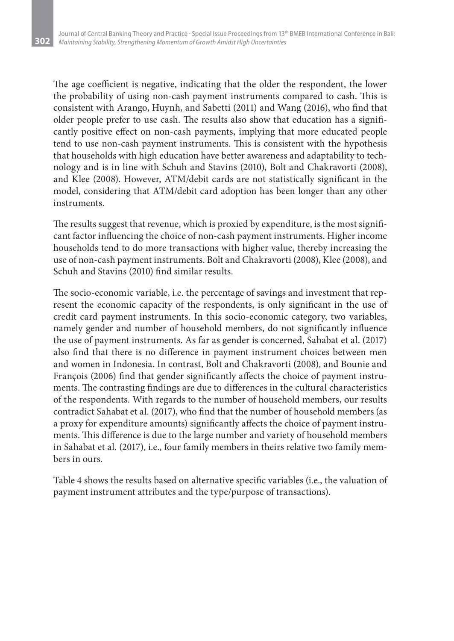The age coefficient is negative, indicating that the older the respondent, the lower the probability of using non-cash payment instruments compared to cash. This is consistent with Arango, Huynh, and Sabetti (2011) and Wang (2016), who find that older people prefer to use cash. The results also show that education has a significantly positive effect on non-cash payments, implying that more educated people tend to use non-cash payment instruments. This is consistent with the hypothesis that households with high education have better awareness and adaptability to technology and is in line with Schuh and Stavins (2010), Bolt and Chakravorti (2008), and Klee (2008). However, ATM/debit cards are not statistically significant in the model, considering that ATM/debit card adoption has been longer than any other instruments.

The results suggest that revenue, which is proxied by expenditure, is the most significant factor influencing the choice of non-cash payment instruments. Higher income households tend to do more transactions with higher value, thereby increasing the use of non-cash payment instruments. Bolt and Chakravorti (2008), Klee (2008), and Schuh and Stavins (2010) find similar results.

The socio-economic variable, i.e. the percentage of savings and investment that represent the economic capacity of the respondents, is only significant in the use of credit card payment instruments. In this socio-economic category, two variables, namely gender and number of household members, do not significantly influence the use of payment instruments. As far as gender is concerned, Sahabat et al. (2017) also find that there is no difference in payment instrument choices between men and women in Indonesia. In contrast, Bolt and Chakravorti (2008), and Bounie and François (2006) find that gender significantly affects the choice of payment instruments. The contrasting findings are due to differences in the cultural characteristics of the respondents. With regards to the number of household members, our results contradict Sahabat et al. (2017), who find that the number of household members (as a proxy for expenditure amounts) significantly affects the choice of payment instruments. This difference is due to the large number and variety of household members in Sahabat et al. (2017), i.e., four family members in theirs relative two family members in ours.

Table 4 shows the results based on alternative specific variables (i.e., the valuation of payment instrument attributes and the type/purpose of transactions).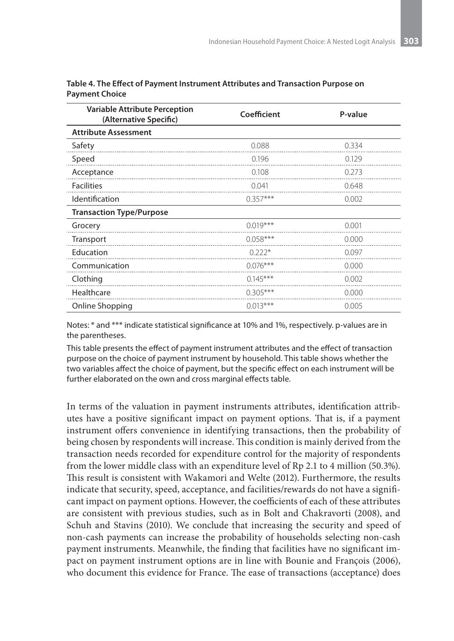| <b>Variable Attribute Perception</b><br>(Alternative Specific) | Coefficient | P-value |
|----------------------------------------------------------------|-------------|---------|
| <b>Attribute Assessment</b>                                    |             |         |
| Safety                                                         | 0.088       | 0.334   |
| Speed                                                          | 0.196       | 0.129   |
| Acceptance                                                     | 0.108       | 0.273   |
| <b>Facilities</b>                                              | 0.041       | 0.648   |
| Identification                                                 | $0.357***$  | 0.002   |
| <b>Transaction Type/Purpose</b>                                |             |         |
| Grocery                                                        | $0.019***$  | 0.001   |
| Transport                                                      | $0.058***$  | 0.000   |
| Education                                                      | $0.222*$    | 0.097   |
| Communication                                                  | $0.076***$  | 0.000   |
| Clothing                                                       | $0.145***$  | 0.002   |
| Healthcare                                                     | $0.305***$  | 0.000   |
| Online Shopping                                                | $0.013***$  | 0.005   |

| Table 4. The Effect of Payment Instrument Attributes and Transaction Purpose on |  |
|---------------------------------------------------------------------------------|--|
| Payment Choice                                                                  |  |

Notes: \* and \*\*\* indicate statistical significance at 10% and 1%, respectively. p-values are in the parentheses.

This table presents the effect of payment instrument attributes and the effect of transaction purpose on the choice of payment instrument by household. This table shows whether the two variables affect the choice of payment, but the specific effect on each instrument will be further elaborated on the own and cross marginal effects table.

In terms of the valuation in payment instruments attributes, identification attributes have a positive significant impact on payment options. That is, if a payment instrument offers convenience in identifying transactions, then the probability of being chosen by respondents will increase. This condition is mainly derived from the transaction needs recorded for expenditure control for the majority of respondents from the lower middle class with an expenditure level of Rp 2.1 to 4 million (50.3%). This result is consistent with Wakamori and Welte (2012). Furthermore, the results indicate that security, speed, acceptance, and facilities/rewards do not have a significant impact on payment options. However, the coefficients of each of these attributes are consistent with previous studies, such as in Bolt and Chakravorti (2008), and Schuh and Stavins (2010). We conclude that increasing the security and speed of non-cash payments can increase the probability of households selecting non-cash payment instruments. Meanwhile, the finding that facilities have no significant impact on payment instrument options are in line with Bounie and François (2006), who document this evidence for France. The ease of transactions (acceptance) does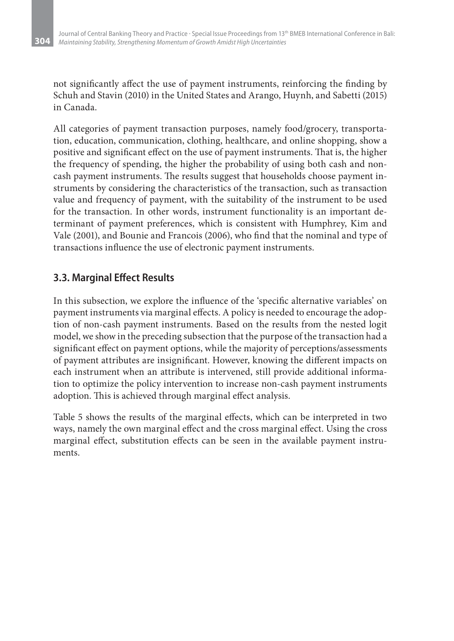not significantly affect the use of payment instruments, reinforcing the finding by Schuh and Stavin (2010) in the United States and Arango, Huynh, and Sabetti (2015) in Canada.

All categories of payment transaction purposes, namely food/grocery, transportation, education, communication, clothing, healthcare, and online shopping, show a positive and significant effect on the use of payment instruments. That is, the higher the frequency of spending, the higher the probability of using both cash and noncash payment instruments. The results suggest that households choose payment instruments by considering the characteristics of the transaction, such as transaction value and frequency of payment, with the suitability of the instrument to be used for the transaction. In other words, instrument functionality is an important determinant of payment preferences, which is consistent with Humphrey, Kim and Vale (2001), and Bounie and Francois (2006), who find that the nominal and type of transactions influence the use of electronic payment instruments.

### **3.3. Marginal Effect Results**

In this subsection, we explore the influence of the 'specific alternative variables' on payment instruments via marginal effects. A policy is needed to encourage the adoption of non-cash payment instruments. Based on the results from the nested logit model, we show in the preceding subsection that the purpose of the transaction had a significant effect on payment options, while the majority of perceptions/assessments of payment attributes are insignificant. However, knowing the different impacts on each instrument when an attribute is intervened, still provide additional information to optimize the policy intervention to increase non-cash payment instruments adoption. This is achieved through marginal effect analysis.

Table 5 shows the results of the marginal effects, which can be interpreted in two ways, namely the own marginal effect and the cross marginal effect. Using the cross marginal effect, substitution effects can be seen in the available payment instruments.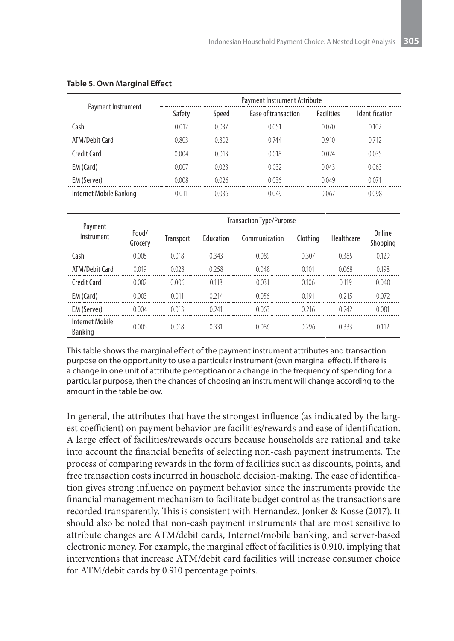|                         | <b>Payment Instrument Attribute</b> |       |                     |                   |                       |  |  |  |
|-------------------------|-------------------------------------|-------|---------------------|-------------------|-----------------------|--|--|--|
| Payment Instrument      | Safety                              | Speed | Ease of transaction | <b>Facilities</b> | <b>Identification</b> |  |  |  |
| Cash                    | 0.012                               | 0.037 | 0.051               | 0.070             | 0102                  |  |  |  |
| ATM/Debit Card          | 0.803                               | 0.802 | 0.744               | 0.910             | 0.712                 |  |  |  |
| Credit Card             | 0.004                               | 0.013 | 0.018               | 0.024             | 0.035                 |  |  |  |
| EM (Card)               | 0.007                               | 0.023 | 0.032               | 0.043             | 0.063                 |  |  |  |
| EM (Server)             | 0.008                               | 0.026 | 0036                | 0.049             | 0.071                 |  |  |  |
| Internet Mobile Banking | በ በ11                               | 0036  | 0.049               | 0.067             | 0.098                 |  |  |  |

#### **Table 5. Own Marginal Effect**

| Payment                           | <b>Transaction Type/Purpose</b> |           |           |               |          |            |                    |  |  |
|-----------------------------------|---------------------------------|-----------|-----------|---------------|----------|------------|--------------------|--|--|
| Instrument                        | Food/<br>Grocery                | Transport | Education | Communication | Clothing | Healthcare | Online<br>Shopping |  |  |
| Cash                              | 0.005                           | 0.018     | 0 3 4 3   | 0.089         | 0.307    | 0385       | 0.129              |  |  |
| ATM/Debit Card                    | 0.019                           | 0.028     | 0.258     | 0.048         | 0.101    | 0.068      | 0.198              |  |  |
| Credit Card                       | 0.002                           | 0.006     | 0.118     | 0.031         | 0.106    | 0.119      | 0.040              |  |  |
| EM (Card)                         | 0.003                           | 0.011     | 0 2 1 4   | 0.056         | 0.191    | 0 2 1 5    | 0.072              |  |  |
| EM (Server)                       | 0.004                           | 0.013     | 0.241     | 0.063         | 0.216    | 0.242      | 0.081              |  |  |
| <b>Internet Mobile</b><br>Banking | 0.005                           | 0.018     | 0331      | 0.086         | 0.296    | 0333       | 0.112              |  |  |

This table shows the marginal effect of the payment instrument attributes and transaction purpose on the opportunity to use a particular instrument (own marginal effect). If there is a change in one unit of attribute perceptioan or a change in the frequency of spending for a particular purpose, then the chances of choosing an instrument will change according to the amount in the table below.

In general, the attributes that have the strongest influence (as indicated by the largest coefficient) on payment behavior are facilities/rewards and ease of identification. A large effect of facilities/rewards occurs because households are rational and take into account the financial benefits of selecting non-cash payment instruments. The process of comparing rewards in the form of facilities such as discounts, points, and free transaction costs incurred in household decision-making. The ease of identification gives strong influence on payment behavior since the instruments provide the financial management mechanism to facilitate budget control as the transactions are recorded transparently. This is consistent with Hernandez, Jonker & Kosse (2017). It should also be noted that non-cash payment instruments that are most sensitive to attribute changes are ATM/debit cards, Internet/mobile banking, and server-based electronic money. For example, the marginal effect of facilities is 0.910, implying that interventions that increase ATM/debit card facilities will increase consumer choice for ATM/debit cards by 0.910 percentage points.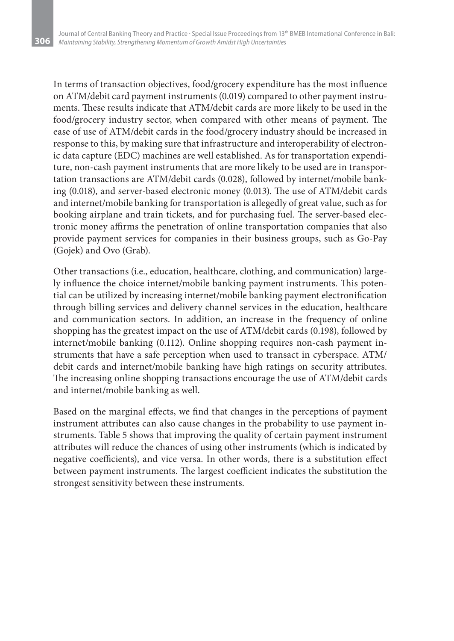In terms of transaction objectives, food/grocery expenditure has the most influence on ATM/debit card payment instruments (0.019) compared to other payment instruments. These results indicate that ATM/debit cards are more likely to be used in the food/grocery industry sector, when compared with other means of payment. The ease of use of ATM/debit cards in the food/grocery industry should be increased in response to this, by making sure that infrastructure and interoperability of electronic data capture (EDC) machines are well established. As for transportation expenditure, non-cash payment instruments that are more likely to be used are in transportation transactions are ATM/debit cards (0.028), followed by internet/mobile banking (0.018), and server-based electronic money (0.013). The use of ATM/debit cards and internet/mobile banking for transportation is allegedly of great value, such as for booking airplane and train tickets, and for purchasing fuel. The server-based electronic money affirms the penetration of online transportation companies that also provide payment services for companies in their business groups, such as Go-Pay (Gojek) and Ovo (Grab).

Other transactions (i.e., education, healthcare, clothing, and communication) largely influence the choice internet/mobile banking payment instruments. This potential can be utilized by increasing internet/mobile banking payment electronification through billing services and delivery channel services in the education, healthcare and communication sectors. In addition, an increase in the frequency of online shopping has the greatest impact on the use of ATM/debit cards (0.198), followed by internet/mobile banking (0.112). Online shopping requires non-cash payment instruments that have a safe perception when used to transact in cyberspace. ATM/ debit cards and internet/mobile banking have high ratings on security attributes. The increasing online shopping transactions encourage the use of ATM/debit cards and internet/mobile banking as well.

Based on the marginal effects, we find that changes in the perceptions of payment instrument attributes can also cause changes in the probability to use payment instruments. Table 5 shows that improving the quality of certain payment instrument attributes will reduce the chances of using other instruments (which is indicated by negative coefficients), and vice versa. In other words, there is a substitution effect between payment instruments. The largest coefficient indicates the substitution the strongest sensitivity between these instruments.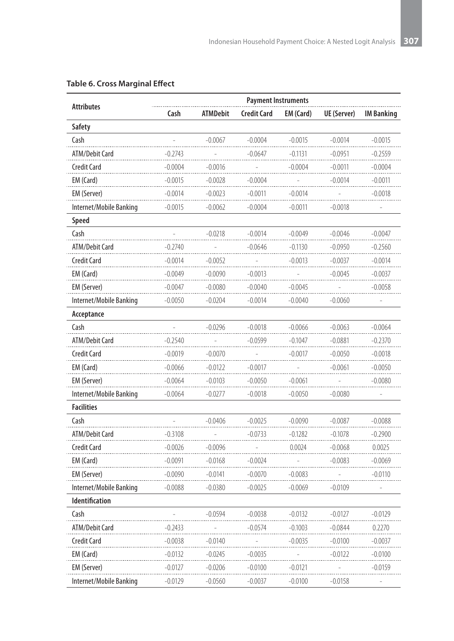|                         | <b>Payment Instruments</b> |                 |                    |           |             |                   |  |  |  |
|-------------------------|----------------------------|-----------------|--------------------|-----------|-------------|-------------------|--|--|--|
| <b>Attributes</b>       | Cash                       | <b>ATMDebit</b> | <b>Credit Card</b> | EM (Card) | UE (Server) | <b>IM Banking</b> |  |  |  |
| Safety                  |                            |                 |                    |           |             |                   |  |  |  |
| Cash                    |                            | $-0.0067$       | $-0.0004$          | $-0.0015$ | $-0.0014$   | $-0.0015$         |  |  |  |
| ATM/Debit Card          | -0.2743                    |                 | -0.0647            | -0.1131   | -0.0951     | -0.2559           |  |  |  |
| Credit Card             | $-0.0004$                  | $-0.0016$       |                    | -0.0004   | $-0.0011$   | -0.0004           |  |  |  |
| EM (Card)               | $-0.0015$                  | $-0.0028$       | $-0.0004$          |           | $-0.0014$   | $-0.0011$         |  |  |  |
| EM (Server)             | -0.0014                    | -0.0023         | $-0.0011$          | $-0.0014$ |             | $-0.0018$         |  |  |  |
| Internet/Mobile Banking | $-0.0015$                  | -0.0062         | -0.0004            | $-0.0011$ | $-0.0018$   |                   |  |  |  |
| Speed                   |                            |                 |                    |           |             |                   |  |  |  |
| Cash                    |                            | $-0.0218$       | $-0.0014$          | $-0.0049$ | $-0.0046$   | $-0.0047$         |  |  |  |
| ATM/Debit Card          | $-0.2740$                  |                 | $-0.0646$          | $-0.1130$ | $-0.0950$   | $-0.2560$         |  |  |  |
| <b>Credit Card</b>      | $-0.0014$                  | $-0.0052$       |                    | $-0.0013$ | $-0.0037$   | $-0.0014$         |  |  |  |
| EM (Card)               | $-0.0049$                  | $-0.0090$       | $-0.0013$          |           | $-0.0045$   | $-0.0037$         |  |  |  |
| EM (Server)             | $-0.0047$                  | $-0.0080$       | $-0.0040$          | $-0.0045$ |             | $-0.0058$         |  |  |  |
| Internet/Mobile Banking | $-0.0050$                  | $-0.0204$       | $-0.0014$          | $-0.0040$ | $-0.0060$   |                   |  |  |  |
| Acceptance              |                            |                 |                    |           |             |                   |  |  |  |
| Cash                    |                            | $-0.0296$       | $-0.0018$          | $-0.0066$ | $-0.0063$   | $-0.0064$         |  |  |  |
| ATM/Debit Card          | $-0.2540$                  |                 | $-0.0599$          | $-0.1047$ | $-0.0881$   | $-0.2370$         |  |  |  |
| <b>Credit Card</b>      | $-0.0019$                  | $-0.0070$       |                    | $-0.0017$ | $-0.0050$   | $-0.0018$         |  |  |  |
| EM (Card)               | $-0.0066$                  | $-0.0122$       | $-0.0017$          |           | $-0.0061$   | $-0.0050$         |  |  |  |
| EM (Server)             | $-0.0064$                  | $-0.0103$       | $-0.0050$          | $-0.0061$ |             | $-0.0080$         |  |  |  |
| Internet/Mobile Banking | $-0.0064$                  | -0.0277         | $-0.0018$          | $-0.0050$ | $-0.0080$   |                   |  |  |  |
| <b>Facilities</b>       |                            |                 |                    |           |             |                   |  |  |  |
| Cash                    |                            | $-0.0406$       | $-0.0025$          | $-0.0090$ | $-0.0087$   | $-0.0088$         |  |  |  |
| ATM/Debit Card          | $-0.3108$                  |                 | $-0.0733$          | $-0.1282$ | $-0.1078$   | $-0.2900$         |  |  |  |
| Credit Card             | $-0.0026$                  | $-0.0096$       |                    | 0.0024    | $-0.0068$   | 0.0025            |  |  |  |
| EM (Card)               | $-0.0091$                  | -0.0168         | $-0.0024$          |           | $-0.0083$   | $-0.0069$         |  |  |  |
| EM (Server)             | $-0.0090$                  | -0.0141         | -0.0070            | $-0.0083$ |             | $-0.0110$         |  |  |  |
| Internet/Mobile Banking | -0.0088                    | -0.0380         | -0.0025            | -0.0069   | $-0.0109$   |                   |  |  |  |
| <b>Identification</b>   |                            |                 |                    |           |             |                   |  |  |  |
| Cash                    |                            | $-0.0594$       | $-0.0038$          | $-0.0132$ | $-0.0127$   | $-0.0129$         |  |  |  |
| ATM/Debit Card          | -0.2433                    |                 | -0.0574            | -0.1003   | -0.0844     | 0.2270            |  |  |  |
| Credit Card             | -0.0038                    | -0.0140         |                    | -0.0035   | $-0.0100$   | $-0.0037$         |  |  |  |
| EM (Card)               | $-0.0132$                  | -0.0245         | $-0.0035$          |           | $-0.0122$   | $-0.0100$         |  |  |  |
| EM (Server)             | -0.0127                    | $-0.0206$       | -0.0100            | $-0.0121$ |             | $-0.0159$         |  |  |  |
| Internet/Mobile Banking | -0.0129                    | -0.0560         | -0.0037            | -0.0100   | $-0.0158$   |                   |  |  |  |

#### **Table 6. Cross Marginal Effect**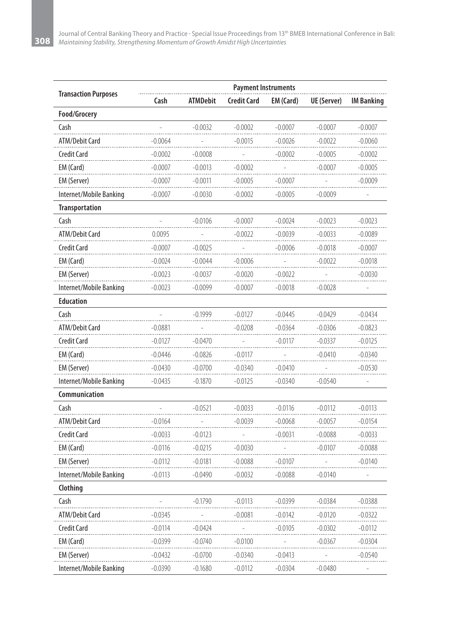|                             |           |           | <b>Payment Instruments</b> |                  |                    |                   |
|-----------------------------|-----------|-----------|----------------------------|------------------|--------------------|-------------------|
| <b>Transaction Purposes</b> | Cash      | ATMDebit  | <b>Credit Card</b>         | <b>EM</b> (Card) | <b>UE</b> (Server) | <b>IM Banking</b> |
| Food/Grocery                |           |           |                            |                  |                    |                   |
| Cash                        |           | $-0.0032$ | $-0.0002$                  | $-0.0007$        | $-0.0007$          | $-0.0007$         |
| ATM/Debit Card              | -0.0064   |           | $-0.0015$                  | -0.0026          | $-0.0022$          | $-0.0060$         |
| Credit Card                 | $-0.0002$ | $-0.0008$ | $\overline{\phantom{a}}$   | $-0.0002$        | $-0.0005$          | $-0.0002$         |
| EM (Card)                   | $-0.0007$ | $-0.0013$ | $-0.0002$                  |                  | $-0.0007$          | $-0.0005$         |
| EM (Server)                 | $-0.0007$ | $-0.0011$ | -0.0005                    | -0.0007          |                    | $-0.0009$         |
| Internet/Mobile Banking     | $-0.0007$ | -0.0030   | $-0.0002$                  | $-0.0005$        | $-0.0009$          |                   |
| <b>Transportation</b>       |           |           |                            |                  |                    |                   |
| Cash                        |           | $-0.0106$ | $-0.0007$                  | $-0.0024$        | $-0.0023$          | $-0.0023$         |
| ATM/Debit Card              | 0.0095    |           | $-0.0022$                  | $-0.0039$        | $-0.0033$          | $-0.0089$         |
| Credit Card                 | $-0.0007$ | -0.0025   |                            | $-0.0006$        | -0.0018            | $-0.0007$         |
| EM (Card)                   | $-0.0024$ | -0.0044   | $-0.0006$                  |                  | $-0.0022$          | $-0.0018$         |
| EM (Server)                 | $-0.0023$ | $-0.0037$ | $-0.0020$                  | $-0.0022$        |                    | $-0.0030$         |
| Internet/Mobile Banking     | $-0.0023$ | -0.0099   | $-0.0007$                  | $-0.0018$        | $-0.0028$          |                   |
| <b>Education</b>            |           |           |                            |                  |                    |                   |
| Cash                        |           | $-0.1999$ | $-0.0127$                  | $-0.0445$        | $-0.0429$          | $-0.0434$         |
| ATM/Debit Card              | -0.0881   |           | $-0.0208$                  | -0.0364          | $-0.0306$          | $-0.0823$         |
| Credit Card                 | $-0.0127$ | $-0.0470$ |                            | $-0.0117$        | $-0.0337$          | -0.0125           |
| EM (Card)                   | $-0.0446$ | $-0.0826$ | $-0.0117$                  |                  | -0.0410            | -0.0340           |
| EM (Server)                 | $-0.0430$ | -0.0700   | -0.0340                    | $-0.0410$        |                    | $-0.0530$         |
| Internet/Mobile Banking     | $-0.0435$ | $-0.1870$ | $-0.0125$                  | $-0.0340$        | $-0.0540$          |                   |
| Communication               |           |           |                            |                  |                    |                   |
| Cash                        |           | $-0.0521$ | $-0.0033$                  | $-0.0116$        | $-0.0112$          | $-0.0113$         |
| ATM/Debit Card              | $-0.0164$ |           | $-0.0039$                  | $-0.0068$        | $-0.0057$          | $-0.0154$         |
| Credit Card                 | $-0.0033$ | -0.0123   |                            | $-0.0031$        | $-0.0088$          | $-0.0033$         |
| EM (Card)                   | $-0.0116$ | $-0.0215$ | -0.0030                    |                  | $-0.0107$          | $-0.0088$         |
| EM (Server)                 | $-0.0112$ | $-0.0181$ | $-0.0088$                  | $-0.0107$        |                    | $-0.0140$         |
| Internet/Mobile Banking     | $-0.0113$ | -0.0490   | $-0.0032$                  | $-0.0088$        | $-0.0140$          |                   |
| Clothing                    |           |           |                            |                  |                    |                   |
| Cash                        |           | $-0.1790$ | $-0.0113$                  | $-0.0399$        | 0.0384             | $-0.0388$         |
| ATM/Debit Card              | -0.0345   |           | $-0.0081$                  | $-0.0142$        | $-0.0120$          | -0.0322           |
| <b>Credit Card</b>          | $-0.0114$ | -0.0424   |                            | $-0.0105$        | $-0.0302$          | $-0.0112$         |
| EM (Card)                   | $-0.0399$ | -0.0740   | -0.0100                    |                  | $-0.0367$          | -0.0304           |
| EM (Server)                 | $-0.0432$ | -0.0700   | -0.0340                    | $-0.0413$        |                    | $-0.0540$         |
| Internet/Mobile Banking     | $-0.0390$ | $-0.1680$ | $-0.0112$                  | $-0.0304$        | $-0.0480$          |                   |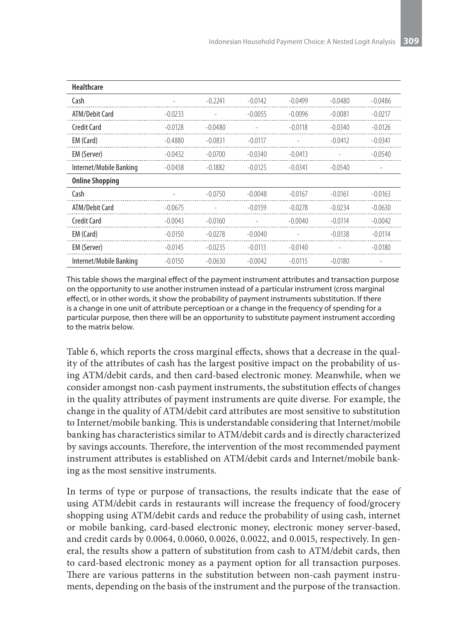| <b>Healthcare</b>       |           |           |           |           |           |           |
|-------------------------|-----------|-----------|-----------|-----------|-----------|-----------|
| Cash                    |           | $-0.2241$ | $-0.0142$ | $-0.0499$ | $-0.0480$ | $-0.0486$ |
| ATM/Debit Card          | $-0.0233$ |           | $-0.0055$ | $-0.0096$ | $-0.0081$ | $-0.0217$ |
| Credit Card             | $-0.0128$ | $-0.0480$ |           | $-0.0118$ | $-0.0340$ | $-0.0126$ |
| EM (Card)               | $-0.4880$ | $-0.0831$ | $-0.0117$ | ۰         | $-0.0412$ | $-0.0341$ |
| EM (Server)             | $-0.0432$ | $-0.0700$ | $-0.0340$ | $-0.0413$ |           | $-0.0540$ |
| Internet/Mobile Banking | $-0.0438$ | $-0.1882$ | $-0.0125$ | $-0.0341$ | $-0.0540$ |           |
| <b>Online Shopping</b>  |           |           |           |           |           |           |
| Cash                    |           | $-0.0750$ | $-0.0048$ | $-0.0167$ | $-0.0161$ | $-0.0163$ |
| <b>ATM/Debit Card</b>   | $-0.0675$ |           | $-0.0159$ | $-0.0278$ | $-0.0234$ | $-0.0630$ |
| Credit Card             | $-0.0043$ | $-0.0160$ |           | $-0.0040$ | $-0.0114$ | $-0.0042$ |
| EM (Card)               | $-0.0150$ | $-0.0278$ | $-0.0040$ |           | $-0.0138$ | $-0.0114$ |
| EM (Server)             | $-0.0145$ | $-0.0235$ | $-0.0113$ | $-0.0140$ |           | $-0.0180$ |
| Internet/Mobile Banking | $-0.0150$ | $-0.0630$ | $-0.0042$ | $-0.0115$ | $-0.0180$ |           |

This table shows the marginal effect of the payment instrument attributes and transaction purpose on the opportunity to use another instrumen instead of a particular instrument (cross marginal effect), or in other words, it show the probability of payment instruments substitution. If there is a change in one unit of attribute perceptioan or a change in the frequency of spending for a particular purpose, then there will be an opportunity to substitute payment instrument according to the matrix below.

Table 6, which reports the cross marginal effects, shows that a decrease in the quality of the attributes of cash has the largest positive impact on the probability of using ATM/debit cards, and then card-based electronic money. Meanwhile, when we consider amongst non-cash payment instruments, the substitution effects of changes in the quality attributes of payment instruments are quite diverse. For example, the change in the quality of ATM/debit card attributes are most sensitive to substitution to Internet/mobile banking. This is understandable considering that Internet/mobile banking has characteristics similar to ATM/debit cards and is directly characterized by savings accounts. Therefore, the intervention of the most recommended payment instrument attributes is established on ATM/debit cards and Internet/mobile banking as the most sensitive instruments.

In terms of type or purpose of transactions, the results indicate that the ease of using ATM/debit cards in restaurants will increase the frequency of food/grocery shopping using ATM/debit cards and reduce the probability of using cash, internet or mobile banking, card-based electronic money, electronic money server-based, and credit cards by 0.0064, 0.0060, 0.0026, 0.0022, and 0.0015, respectively. In general, the results show a pattern of substitution from cash to ATM/debit cards, then to card-based electronic money as a payment option for all transaction purposes. There are various patterns in the substitution between non-cash payment instruments, depending on the basis of the instrument and the purpose of the transaction.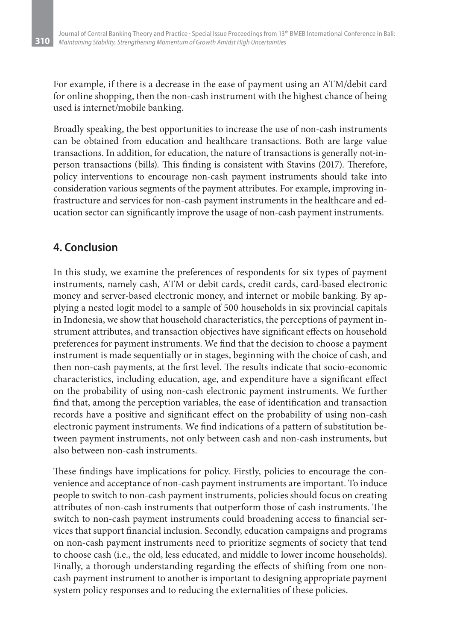For example, if there is a decrease in the ease of payment using an ATM/debit card for online shopping, then the non-cash instrument with the highest chance of being used is internet/mobile banking.

Broadly speaking, the best opportunities to increase the use of non-cash instruments can be obtained from education and healthcare transactions. Both are large value transactions. In addition, for education, the nature of transactions is generally not-inperson transactions (bills). This finding is consistent with Stavins (2017). Therefore, policy interventions to encourage non-cash payment instruments should take into consideration various segments of the payment attributes. For example, improving infrastructure and services for non-cash payment instruments in the healthcare and education sector can significantly improve the usage of non-cash payment instruments.

## **4. Conclusion**

In this study, we examine the preferences of respondents for six types of payment instruments, namely cash, ATM or debit cards, credit cards, card-based electronic money and server-based electronic money, and internet or mobile banking. By applying a nested logit model to a sample of 500 households in six provincial capitals in Indonesia, we show that household characteristics, the perceptions of payment instrument attributes, and transaction objectives have significant effects on household preferences for payment instruments. We find that the decision to choose a payment instrument is made sequentially or in stages, beginning with the choice of cash, and then non-cash payments, at the first level. The results indicate that socio-economic characteristics, including education, age, and expenditure have a significant effect on the probability of using non-cash electronic payment instruments. We further find that, among the perception variables, the ease of identification and transaction records have a positive and significant effect on the probability of using non-cash electronic payment instruments. We find indications of a pattern of substitution between payment instruments, not only between cash and non-cash instruments, but also between non-cash instruments.

These findings have implications for policy. Firstly, policies to encourage the convenience and acceptance of non-cash payment instruments are important. To induce people to switch to non-cash payment instruments, policies should focus on creating attributes of non-cash instruments that outperform those of cash instruments. The switch to non-cash payment instruments could broadening access to financial services that support financial inclusion. Secondly, education campaigns and programs on non-cash payment instruments need to prioritize segments of society that tend to choose cash (i.e., the old, less educated, and middle to lower income households). Finally, a thorough understanding regarding the effects of shifting from one noncash payment instrument to another is important to designing appropriate payment system policy responses and to reducing the externalities of these policies.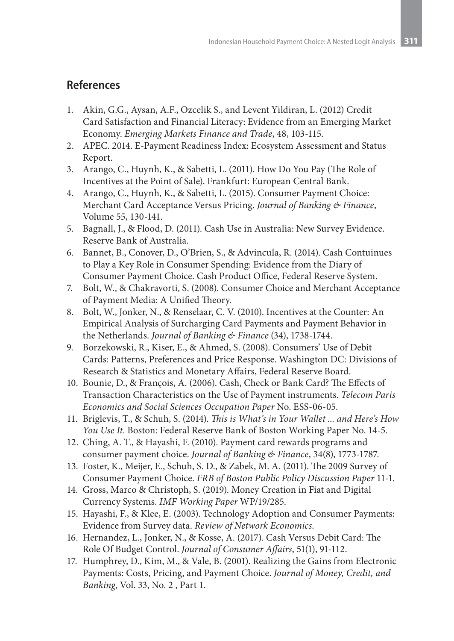### **References**

- 1. Akin, G.G., Aysan, A.F., Ozcelik S., and Levent Yildiran, L. (2012) Credit Card Satisfaction and Financial Literacy: Evidence from an Emerging Market Economy. *Emerging Markets Finance and Trade*, 48, 103-115.
- 2. APEC. 2014. E-Payment Readiness Index: Ecosystem Assessment and Status Report.
- 3. Arango, C., Huynh, K., & Sabetti, L. (2011). How Do You Pay (The Role of Incentives at the Point of Sale). Frankfurt: European Central Bank.
- 4. Arango, C., Huynh, K., & Sabetti, L. (2015). Consumer Payment Choice: Merchant Card Acceptance Versus Pricing. *Journal of Banking & Finance*, Volume 55, 130-141.
- 5. Bagnall, J., & Flood, D. (2011). Cash Use in Australia: New Survey Evidence. Reserve Bank of Australia.
- 6. Bannet, B., Conover, D., O'Brien, S., & Advincula, R. (2014). Cash Contuinues to Play a Key Role in Consumer Spending: Evidence from the Diary of Consumer Payment Choice. Cash Product Office, Federal Reserve System.
- 7. Bolt, W., & Chakravorti, S. (2008). Consumer Choice and Merchant Acceptance of Payment Media: A Unified Theory.
- 8. Bolt, W., Jonker, N., & Renselaar, C. V. (2010). Incentives at the Counter: An Empirical Analysis of Surcharging Card Payments and Payment Behavior in the Netherlands. *Journal of Banking & Finance* (34), 1738-1744.
- 9. Borzekowski, R., Kiser, E., & Ahmed, S. (2008). Consumers' Use of Debit Cards: Patterns, Preferences and Price Response. Washington DC: Divisions of Research & Statistics and Monetary Affairs, Federal Reserve Board.
- 10. Bounie, D., & François, A. (2006). Cash, Check or Bank Card? The Effects of Transaction Characteristics on the Use of Payment instruments. *Telecom Paris Economics and Social Sciences Occupation Paper* No. ESS-06-05.
- 11. Briglevis, T., & Schuh, S. (2014). *This is What's in Your Wallet ... and Here's How You Use It*. Boston: Federal Reserve Bank of Boston Working Paper No. 14-5.
- 12. Ching, A. T., & Hayashi, F. (2010). Payment card rewards programs and consumer payment choice. *Journal of Banking & Finance*, 34(8), 1773-1787.
- 13. Foster, K., Meijer, E., Schuh, S. D., & Zabek, M. A. (2011). The 2009 Survey of Consumer Payment Choice. *FRB of Boston Public Policy Discussion Paper* 11-1.
- 14. Gross, Marco & Christoph, S. (2019). Money Creation in Fiat and Digital Currency Systems. *IMF Working Paper* WP/19/285.
- 15. Hayashi, F., & Klee, E. (2003). Technology Adoption and Consumer Payments: Evidence from Survey data. *Review of Network Economics*.
- 16. Hernandez, L., Jonker, N., & Kosse, A. (2017). Cash Versus Debit Card: The Role Of Budget Control. *Journal of Consumer Affairs*, 51(1), 91-112.
- 17. Humphrey, D., Kim, M., & Vale, B. (2001). Realizing the Gains from Electronic Payments: Costs, Pricing, and Payment Choice. *Journal of Money, Credit, and Banking*, Vol. 33, No. 2 , Part 1.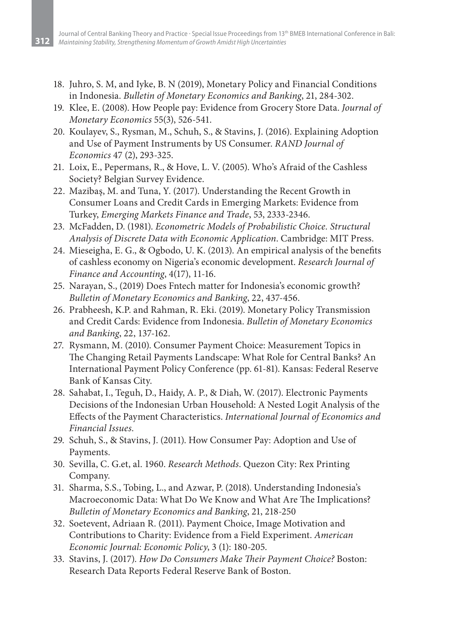- 18. Juhro, S. M, and Iyke, B. N (2019), Monetary Policy and Financial Conditions in Indonesia. *Bulletin of Monetary Economics and Banking*, 21, 284-302.
- 19. Klee, E. (2008). How People pay: Evidence from Grocery Store Data. *Journal of Monetary Economics* 55(3), 526-541.
- 20. Koulayev, S., Rysman, M., Schuh, S., & Stavins, J. (2016). Explaining Adoption and Use of Payment Instruments by US Consumer. *RAND Journal of Economics* 47 (2), 293-325.
- 21. Loix, E., Pepermans, R., & Hove, L. V. (2005). Who's Afraid of the Cashless Society? Belgian Survey Evidence.
- 22. Mazibaş, M. and Tuna, Y. (2017). Understanding the Recent Growth in Consumer Loans and Credit Cards in Emerging Markets: Evidence from Turkey, *Emerging Markets Finance and Trade*, 53, 2333-2346.
- 23. McFadden, D. (1981). *Econometric Models of Probabilistic Choice. Structural Analysis of Discrete Data with Economic Application*. Cambridge: MIT Press.
- 24. Mieseigha, E. G., & Ogbodo, U. K. (2013). An empirical analysis of the benefits of cashless economy on Nigeria's economic development. *Research Journal of Finance and Accounting*, 4(17), 11-16.
- 25. Narayan, S., (2019) Does Fntech matter for Indonesia's economic growth? *Bulletin of Monetary Economics and Banking*, 22, 437-456.
- 26. Prabheesh, K.P. and Rahman, R. Eki. (2019). Monetary Policy Transmission and Credit Cards: Evidence from Indonesia. *Bulletin of Monetary Economics and Banking*, 22, 137-162.
- 27. Rysmann, M. (2010). Consumer Payment Choice: Measurement Topics in The Changing Retail Payments Landscape: What Role for Central Banks? An International Payment Policy Conference (pp. 61-81). Kansas: Federal Reserve Bank of Kansas City.
- 28. Sahabat, I., Teguh, D., Haidy, A. P., & Diah, W. (2017). Electronic Payments Decisions of the Indonesian Urban Household: A Nested Logit Analysis of the Effects of the Payment Characteristics. *International Journal of Economics and Financial Issues*.
- 29. Schuh, S., & Stavins, J. (2011). How Consumer Pay: Adoption and Use of Payments.
- 30. Sevilla, C. G.et, al. 1960. *Research Methods*. Quezon City: Rex Printing Company.
- 31. Sharma, S.S., Tobing, L., and Azwar, P. (2018). Understanding Indonesia's Macroeconomic Data: What Do We Know and What Are The Implications? *Bulletin of Monetary Economics and Banking*, 21, 218-250
- 32. Soetevent, Adriaan R. (2011). Payment Choice, Image Motivation and Contributions to Charity: Evidence from a Field Experiment. *American Economic Journal: Economic Policy*, 3 (1): 180-205.
- 33. Stavins, J. (2017). *How Do Consumers Make Their Payment Choice?* Boston: Research Data Reports Federal Reserve Bank of Boston.